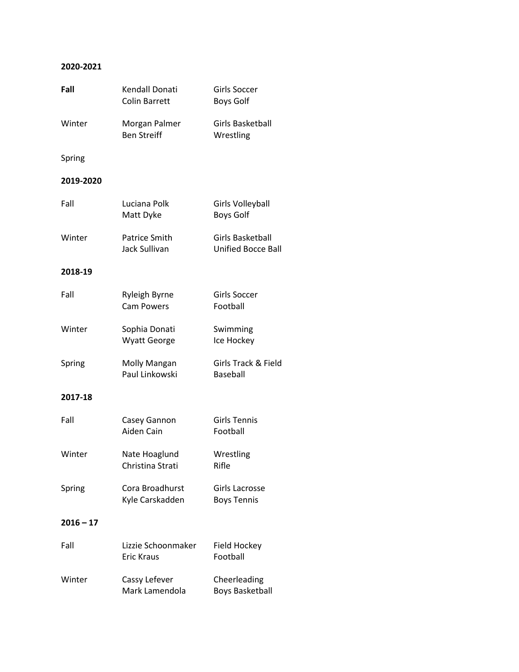## **2020-2021**

| Fall        | Kendall Donati<br><b>Colin Barrett</b>  | Girls Soccer<br><b>Boys Golf</b>              |
|-------------|-----------------------------------------|-----------------------------------------------|
| Winter      | Morgan Palmer<br><b>Ben Streiff</b>     | <b>Girls Basketball</b><br>Wrestling          |
| Spring      |                                         |                                               |
| 2019-2020   |                                         |                                               |
| Fall        | Luciana Polk<br>Matt Dyke               | Girls Volleyball<br><b>Boys Golf</b>          |
| Winter      | Patrice Smith<br>Jack Sullivan          | Girls Basketball<br><b>Unified Bocce Ball</b> |
| 2018-19     |                                         |                                               |
| Fall        | Ryleigh Byrne<br><b>Cam Powers</b>      | Girls Soccer<br>Football                      |
| Winter      | Sophia Donati<br><b>Wyatt George</b>    | Swimming<br>Ice Hockey                        |
| Spring      | Molly Mangan<br>Paul Linkowski          | Girls Track & Field<br>Baseball               |
| 2017-18     |                                         |                                               |
| Fall        | Casey Gannon<br>Aiden Cain              | <b>Girls Tennis</b><br>Football               |
| Winter      | Nate Hoaglund<br>Christina Strati       | Wrestling<br>Rifle                            |
| Spring      | Cora Broadhurst<br>Kyle Carskadden      | Girls Lacrosse<br><b>Boys Tennis</b>          |
| $2016 - 17$ |                                         |                                               |
| Fall        | Lizzie Schoonmaker<br><b>Eric Kraus</b> | Field Hockey<br>Football                      |
| Winter      | Cassy Lefever<br>Mark Lamendola         | Cheerleading<br><b>Boys Basketball</b>        |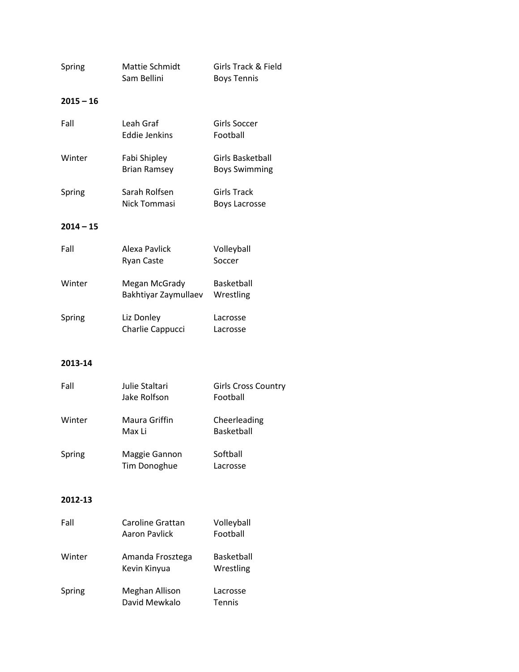| Spring      | Mattie Schmidt<br>Sam Bellini            | Girls Track & Field<br><b>Boys Tennis</b>  |
|-------------|------------------------------------------|--------------------------------------------|
| 2015 – 16   |                                          |                                            |
| Fall        | Leah Graf<br><b>Eddie Jenkins</b>        | <b>Girls Soccer</b><br>Football            |
| Winter      | Fabi Shipley<br><b>Brian Ramsey</b>      | Girls Basketball<br><b>Boys Swimming</b>   |
| Spring      | Sarah Rolfsen<br>Nick Tommasi            | <b>Girls Track</b><br><b>Boys Lacrosse</b> |
| $2014 - 15$ |                                          |                                            |
| Fall        | Alexa Pavlick<br><b>Ryan Caste</b>       | Volleyball<br>Soccer                       |
| Winter      | Megan McGrady<br>Bakhtiyar Zaymullaev    | Basketball<br>Wrestling                    |
| Spring      | Liz Donley<br>Charlie Cappucci           | Lacrosse<br>Lacrosse                       |
| 2013-14     |                                          |                                            |
| Fall        | Julie Staltari<br>Jake Rolfson           | <b>Girls Cross Country</b><br>Football     |
| Winter      | Maura Griffin<br>Max Li                  | Cheerleading<br><b>Basketball</b>          |
| Spring      | Maggie Gannon<br><b>Tim Donoghue</b>     | Softball<br>Lacrosse                       |
| 2012-13     |                                          |                                            |
| Fall        | Caroline Grattan<br><b>Aaron Pavlick</b> | Volleyball<br>Football                     |
| Winter      | Amanda Frosztega<br>Kevin Kinyua         | Basketball<br>Wrestling                    |
| Spring      | Meghan Allison<br>David Mewkalo          | Lacrosse<br>Tennis                         |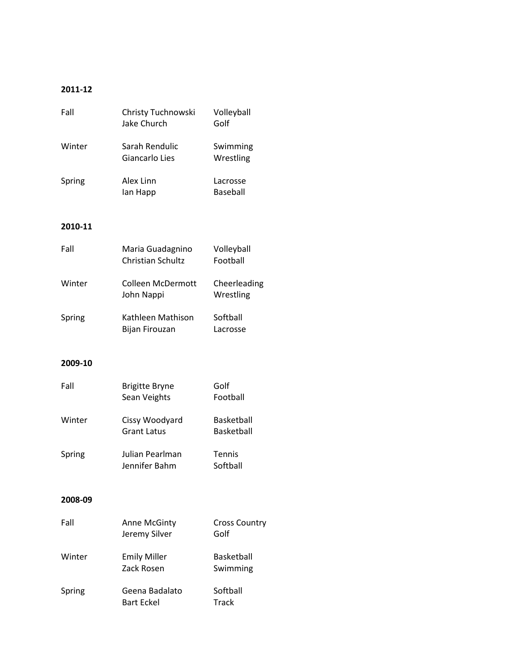## **2011-12**

| Fall    | Christy Tuchnowski<br>Jake Church      | Volleyball<br>Golf           |
|---------|----------------------------------------|------------------------------|
| Winter  | Sarah Rendulic<br>Giancarlo Lies       | Swimming<br>Wrestling        |
| Spring  | Alex Linn<br>lan Happ                  | Lacrosse<br><b>Baseball</b>  |
| 2010-11 |                                        |                              |
| Fall    | Maria Guadagnino<br>Christian Schultz  | Volleyball<br>Football       |
| Winter  | <b>Colleen McDermott</b><br>John Nappi | Cheerleading<br>Wrestling    |
| Spring  | Kathleen Mathison<br>Bijan Firouzan    | Softball<br>Lacrosse         |
| 2009-10 |                                        |                              |
| Fall    | <b>Brigitte Bryne</b><br>Sean Veights  | Golf<br>Football             |
| Winter  | Cissy Woodyard<br><b>Grant Latus</b>   | Basketball<br>Basketball     |
| Spring  | Julian Pearlman<br>Jennifer Bahm       | Tennis<br>Softball           |
| 2008-09 |                                        |                              |
| Fall    | Anne McGinty<br>Jeremy Silver          | <b>Cross Country</b><br>Golf |
| Winter  | <b>Emily Miller</b><br>Zack Rosen      | Basketball<br>Swimming       |
| Spring  | Geena Badalato<br><b>Bart Eckel</b>    | Softball<br><b>Track</b>     |